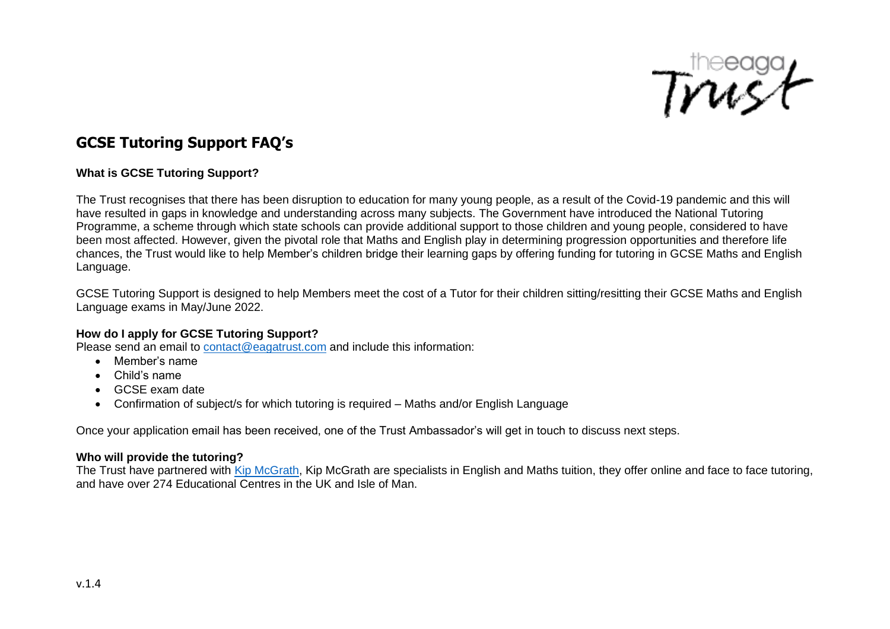

# **GCSE Tutoring Support FAQ's**

## **What is GCSE Tutoring Support?**

The Trust recognises that there has been disruption to education for many young people, as a result of the Covid-19 pandemic and this will have resulted in gaps in knowledge and understanding across many subjects. The Government have introduced the National Tutoring Programme, a scheme through which state schools can provide additional support to those children and young people, considered to have been most affected. However, given the pivotal role that Maths and English play in determining progression opportunities and therefore life chances, the Trust would like to help Member's children bridge their learning gaps by offering funding for tutoring in GCSE Maths and English Language.

GCSE Tutoring Support is designed to help Members meet the cost of a Tutor for their children sitting/resitting their GCSE Maths and English Language exams in May/June 2022.

#### **How do I apply for GCSE Tutoring Support?**

Please send an email to [contact@eagatrust.com](mailto:contact@eagatrust.com) and include this information:

- Member's name
- Child's name
- GCSE exam date
- Confirmation of subject/s for which tutoring is required Maths and/or English Language

Once your application email has been received, one of the Trust Ambassador's will get in touch to discuss next steps.

#### **Who will provide the tutoring?**

The Trust have partnered with [Kip McGrath,](https://www.kipmcgrath.co.uk/) Kip McGrath are specialists in English and Maths tuition, they offer online and face to face tutoring, and have over 274 Educational Centres in the UK and Isle of Man.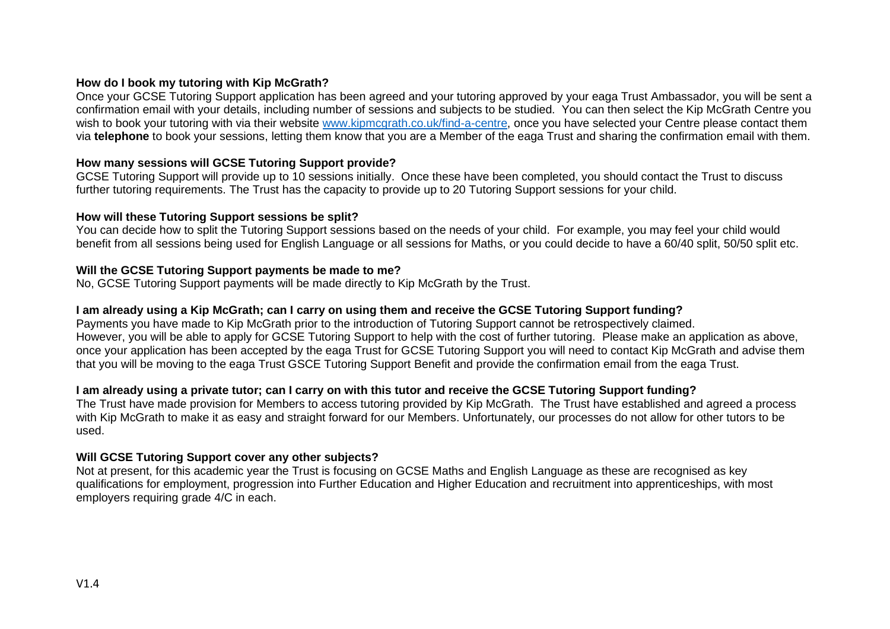## **How do I book my tutoring with Kip McGrath?**

Once your GCSE Tutoring Support application has been agreed and your tutoring approved by your eaga Trust Ambassador, you will be sent a confirmation email with your details, including number of sessions and subjects to be studied. You can then select the Kip McGrath Centre you wish to book your tutoring with via their website [www.kipmcgrath.co.uk/find-a-centre,](http://www.kipmcgrath.co.uk/find-a-centre) once you have selected your Centre please contact them via **telephone** to book your sessions, letting them know that you are a Member of the eaga Trust and sharing the confirmation email with them.

## **How many sessions will GCSE Tutoring Support provide?**

GCSE Tutoring Support will provide up to 10 sessions initially. Once these have been completed, you should contact the Trust to discuss further tutoring requirements. The Trust has the capacity to provide up to 20 Tutoring Support sessions for your child.

#### **How will these Tutoring Support sessions be split?**

You can decide how to split the Tutoring Support sessions based on the needs of your child. For example, you may feel your child would benefit from all sessions being used for English Language or all sessions for Maths, or you could decide to have a 60/40 split, 50/50 split etc.

#### **Will the GCSE Tutoring Support payments be made to me?**

No, GCSE Tutoring Support payments will be made directly to Kip McGrath by the Trust.

#### **I am already using a Kip McGrath; can I carry on using them and receive the GCSE Tutoring Support funding?**

Payments you have made to Kip McGrath prior to the introduction of Tutoring Support cannot be retrospectively claimed. However, you will be able to apply for GCSE Tutoring Support to help with the cost of further tutoring. Please make an application as above, once your application has been accepted by the eaga Trust for GCSE Tutoring Support you will need to contact Kip McGrath and advise them that you will be moving to the eaga Trust GSCE Tutoring Support Benefit and provide the confirmation email from the eaga Trust.

#### **I am already using a private tutor; can I carry on with this tutor and receive the GCSE Tutoring Support funding?**

The Trust have made provision for Members to access tutoring provided by Kip McGrath. The Trust have established and agreed a process with Kip McGrath to make it as easy and straight forward for our Members. Unfortunately, our processes do not allow for other tutors to be used.

#### **Will GCSE Tutoring Support cover any other subjects?**

Not at present, for this academic year the Trust is focusing on GCSE Maths and English Language as these are recognised as key qualifications for employment, progression into Further Education and Higher Education and recruitment into apprenticeships, with most employers requiring grade 4/C in each.